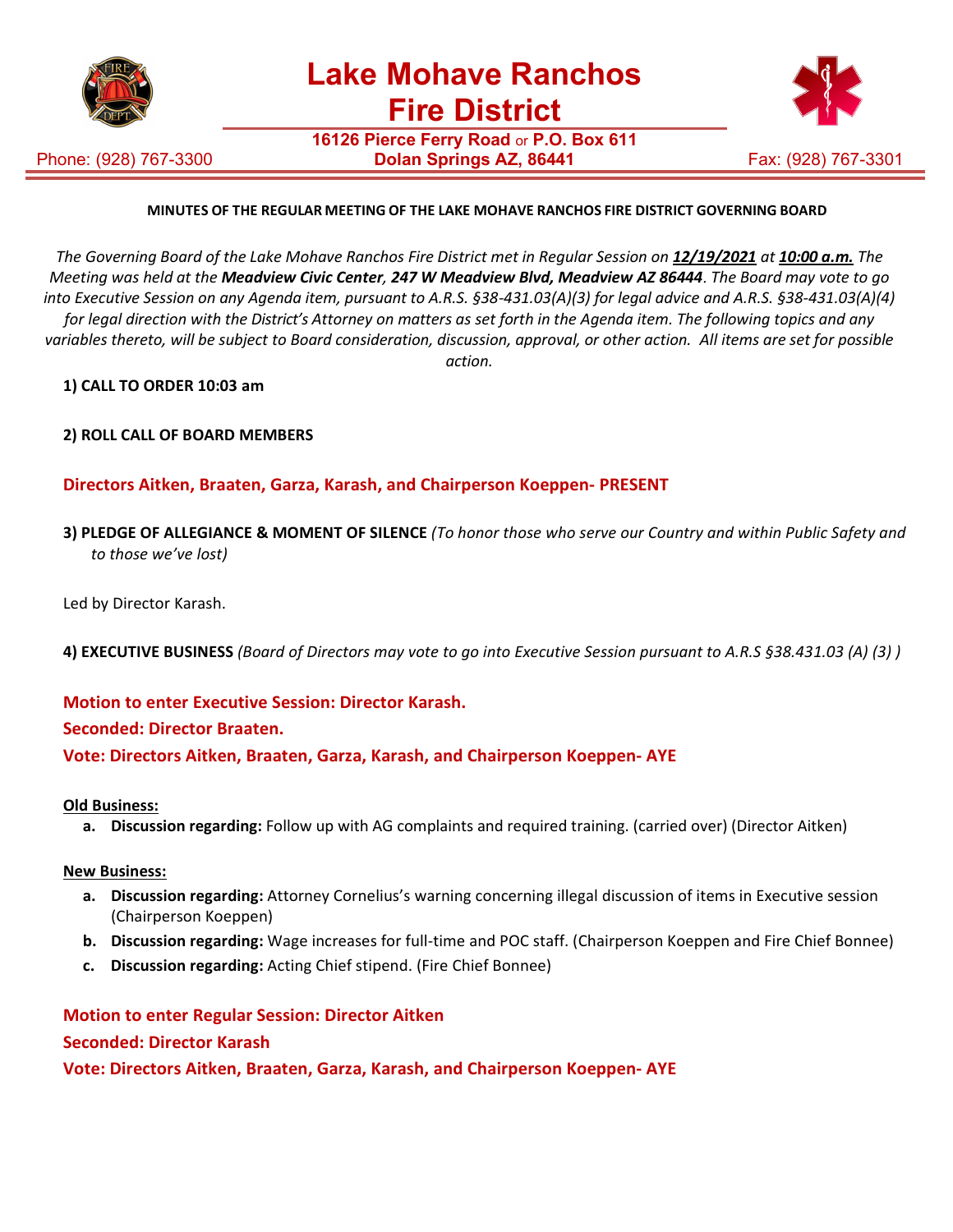

**16126 Pierce Ferry Road** or **P.O. Box 611**

Phone: (928) 767-3300



# **MINUTES OF THE REGULAR MEETING OF THE LAKE MOHAVE RANCHOS FIRE DISTRICT GOVERNING BOARD**

The Governing Board of the Lake Mohave Ranchos Fire District met in Regular Session on 12/19/2021 at 10:00 a.m. The *Meeting was held at the Meadview Civic Center, 247 W Meadview Blvd, Meadview AZ 86444*. *The Board may vote to go into Executive Session on any Agenda item, pursuant to A.R.S. §38-431.03(A)(3) for legal advice and A.R.S. §38-431.03(A)(4) for legal direction with the District's Attorney on matters as set forth in the Agenda item. The following topics and any variables thereto, will be subject to Board consideration, discussion, approval, or other action. All items are set for possible action.*

### **1) CALL TO ORDER 10:03 am**

**2) ROLL CALL OF BOARD MEMBERS**

# **Directors Aitken, Braaten, Garza, Karash, and Chairperson Koeppen- PRESENT**

- **3) PLEDGE OF ALLEGIANCE & MOMENT OF SILENCE** *(To honor those who serve our Country and within Public Safety and to those we've lost)*
- Led by Director Karash.
- **4) EXECUTIVE BUSINESS** *(Board of Directors may vote to go into Executive Session pursuant to A.R.S §38.431.03 (A) (3) )*

### **Motion to enter Executive Session: Director Karash.**

### **Seconded: Director Braaten.**

**Vote: Directors Aitken, Braaten, Garza, Karash, and Chairperson Koeppen- AYE**

### **Old Business:**

**a. Discussion regarding:** Follow up with AG complaints and required training. (carried over) (Director Aitken)

### **New Business:**

- **a. Discussion regarding:** Attorney Cornelius's warning concerning illegal discussion of items in Executive session (Chairperson Koeppen)
- **b. Discussion regarding:** Wage increases for full-time and POC staff. (Chairperson Koeppen and Fire Chief Bonnee)
- **c. Discussion regarding:** Acting Chief stipend. (Fire Chief Bonnee)

# **Motion to enter Regular Session: Director Aitken Seconded: Director Karash**

# **Vote: Directors Aitken, Braaten, Garza, Karash, and Chairperson Koeppen- AYE**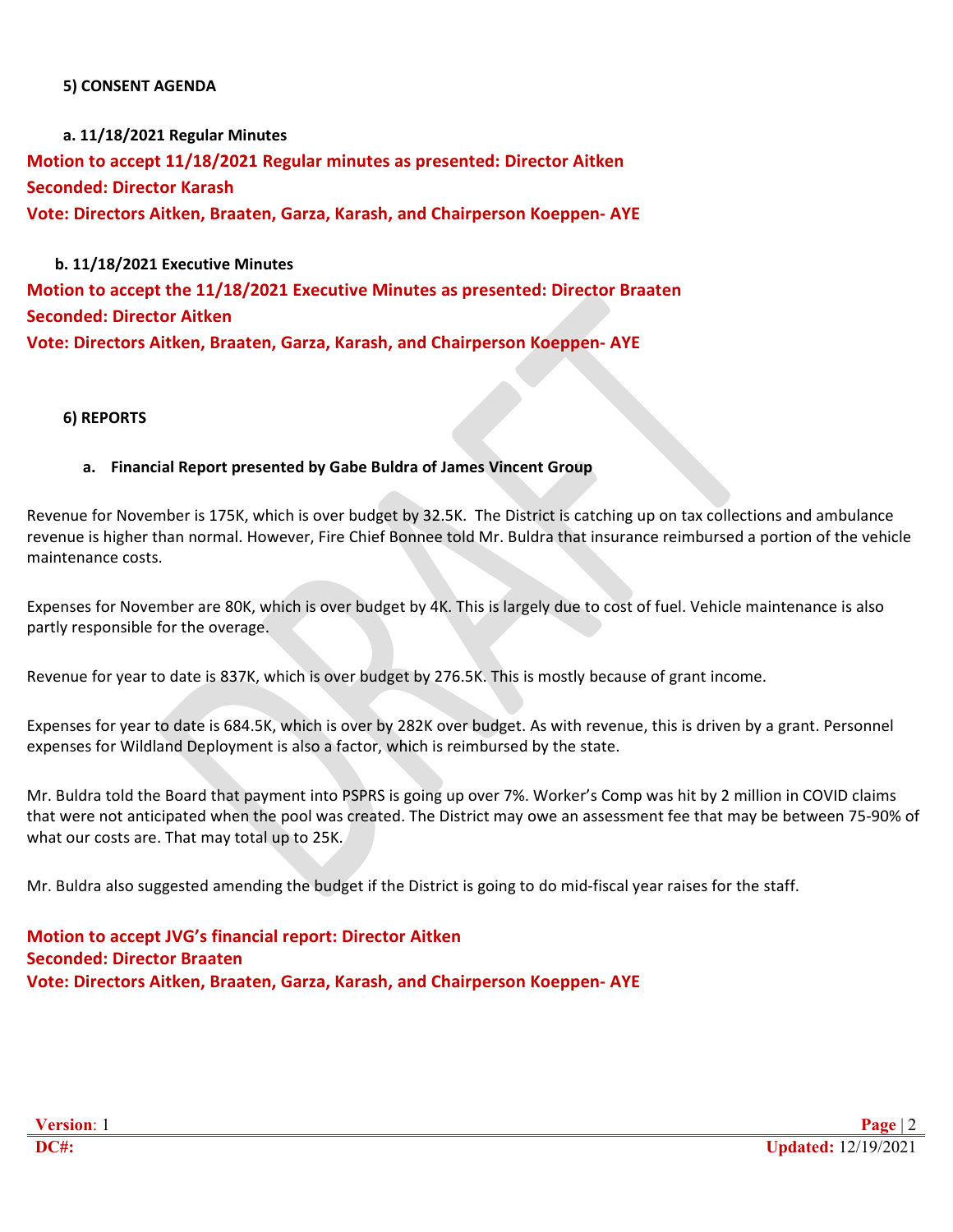### **5) CONSENT AGENDA**

**a. 11/18/2021 Regular Minutes Motion to accept 11/18/2021 Regular minutes as presented: Director Aitken Seconded: Director Karash Vote: Directors Aitken, Braaten, Garza, Karash, and Chairperson Koeppen- AYE**

**b. 11/18/2021 Executive Minutes Motion to accept the 11/18/2021 Executive Minutes as presented: Director Braaten Seconded: Director Aitken Vote: Directors Aitken, Braaten, Garza, Karash, and Chairperson Koeppen- AYE**

# **6) REPORTS**

### **a. Financial Report presented by Gabe Buldra of James Vincent Group**

Revenue for November is 175K, which is over budget by 32.5K. The District is catching up on tax collections and ambulance revenue is higher than normal. However, Fire Chief Bonnee told Mr. Buldra that insurance reimbursed a portion of the vehicle maintenance costs.

Expenses for November are 80K, which is over budget by 4K. This is largely due to cost of fuel. Vehicle maintenance is also partly responsible for the overage.

Revenue for year to date is 837K, which is over budget by 276.5K. This is mostly because of grant income.

Expenses for year to date is 684.5K, which is over by 282K over budget. As with revenue, this is driven by a grant. Personnel expenses for Wildland Deployment is also a factor, which is reimbursed by the state.

Mr. Buldra told the Board that payment into PSPRS is going up over 7%. Worker's Comp was hit by 2 million in COVID claims that were not anticipated when the pool was created. The District may owe an assessment fee that may be between 75-90% of what our costs are. That may total up to 25K.

Mr. Buldra also suggested amending the budget if the District is going to do mid-fiscal year raises for the staff.

**Motion to accept JVG's financial report: Director Aitken Seconded: Director Braaten Vote: Directors Aitken, Braaten, Garza, Karash, and Chairperson Koeppen- AYE**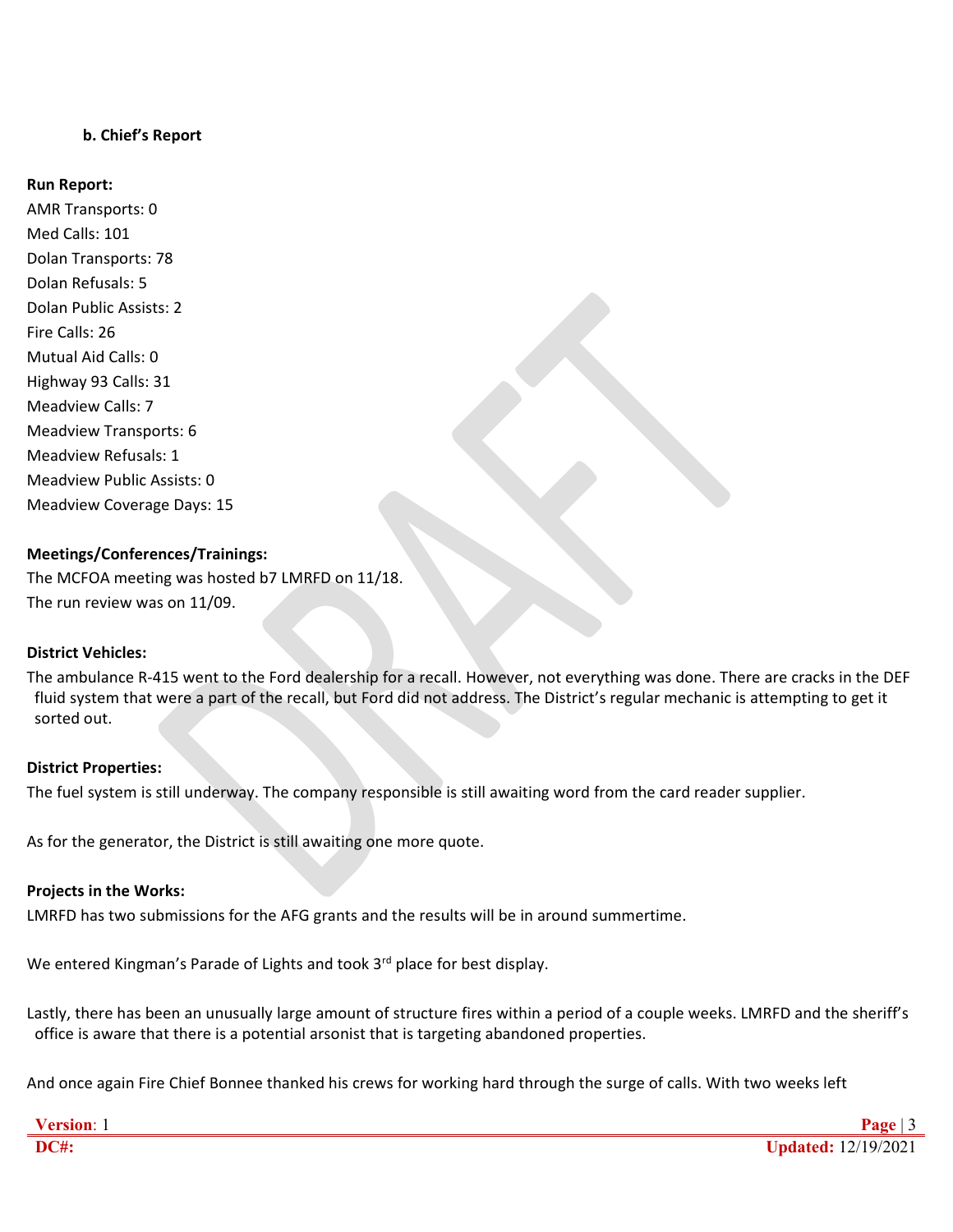# **b. Chief's Report**

#### **Run Report:**

AMR Transports: 0 Med Calls: 101 Dolan Transports: 78 Dolan Refusals: 5 Dolan Public Assists: 2 Fire Calls: 26 Mutual Aid Calls: 0 Highway 93 Calls: 31 Meadview Calls: 7 Meadview Transports: 6 Meadview Refusals: 1 Meadview Public Assists: 0 Meadview Coverage Days: 15

### **Meetings/Conferences/Trainings:**

The MCFOA meeting was hosted b7 LMRFD on 11/18. The run review was on 11/09.

### **District Vehicles:**

The ambulance R-415 went to the Ford dealership for a recall. However, not everything was done. There are cracks in the DEF fluid system that were a part of the recall, but Ford did not address. The District's regular mechanic is attempting to get it sorted out.

#### **District Properties:**

The fuel system is still underway. The company responsible is still awaiting word from the card reader supplier.

As for the generator, the District is still awaiting one more quote.

### **Projects in the Works:**

LMRFD has two submissions for the AFG grants and the results will be in around summertime.

We entered Kingman's Parade of Lights and took 3<sup>rd</sup> place for best display.

Lastly, there has been an unusually large amount of structure fires within a period of a couple weeks. LMRFD and the sheriff's office is aware that there is a potential arsonist that is targeting abandoned properties.

And once again Fire Chief Bonnee thanked his crews for working hard through the surge of calls. With two weeks left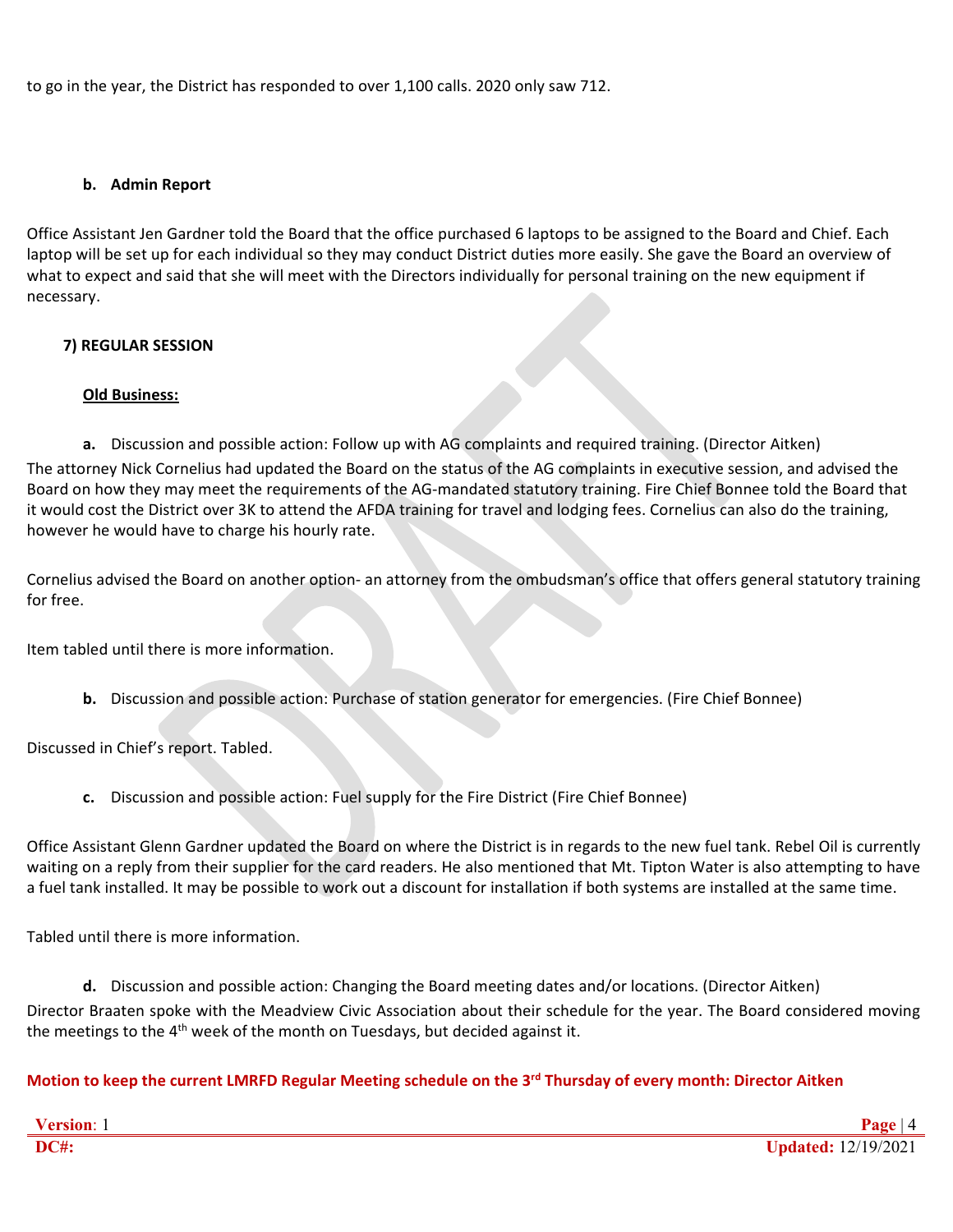to go in the year, the District has responded to over 1,100 calls. 2020 only saw 712.

# **b. Admin Report**

Office Assistant Jen Gardner told the Board that the office purchased 6 laptops to be assigned to the Board and Chief. Each laptop will be set up for each individual so they may conduct District duties more easily. She gave the Board an overview of what to expect and said that she will meet with the Directors individually for personal training on the new equipment if necessary.

# **7) REGULAR SESSION**

# **Old Business:**

**a.** Discussion and possible action: Follow up with AG complaints and required training. (Director Aitken) The attorney Nick Cornelius had updated the Board on the status of the AG complaints in executive session, and advised the Board on how they may meet the requirements of the AG-mandated statutory training. Fire Chief Bonnee told the Board that it would cost the District over 3K to attend the AFDA training for travel and lodging fees. Cornelius can also do the training, however he would have to charge his hourly rate.

Cornelius advised the Board on another option- an attorney from the ombudsman's office that offers general statutory training for free.

Item tabled until there is more information.

**b.** Discussion and possible action: Purchase of station generator for emergencies. (Fire Chief Bonnee)

Discussed in Chief's report. Tabled.

**c.** Discussion and possible action: Fuel supply for the Fire District (Fire Chief Bonnee)

Office Assistant Glenn Gardner updated the Board on where the District is in regards to the new fuel tank. Rebel Oil is currently waiting on a reply from their supplier for the card readers. He also mentioned that Mt. Tipton Water is also attempting to have a fuel tank installed. It may be possible to work out a discount for installation if both systems are installed at the same time.

Tabled until there is more information.

**d.** Discussion and possible action: Changing the Board meeting dates and/or locations. (Director Aitken) Director Braaten spoke with the Meadview Civic Association about their schedule for the year. The Board considered moving the meetings to the  $4<sup>th</sup>$  week of the month on Tuesdays, but decided against it.

**Motion to keep the current LMRFD Regular Meeting schedule on the 3rd Thursday of every month: Director Aitken**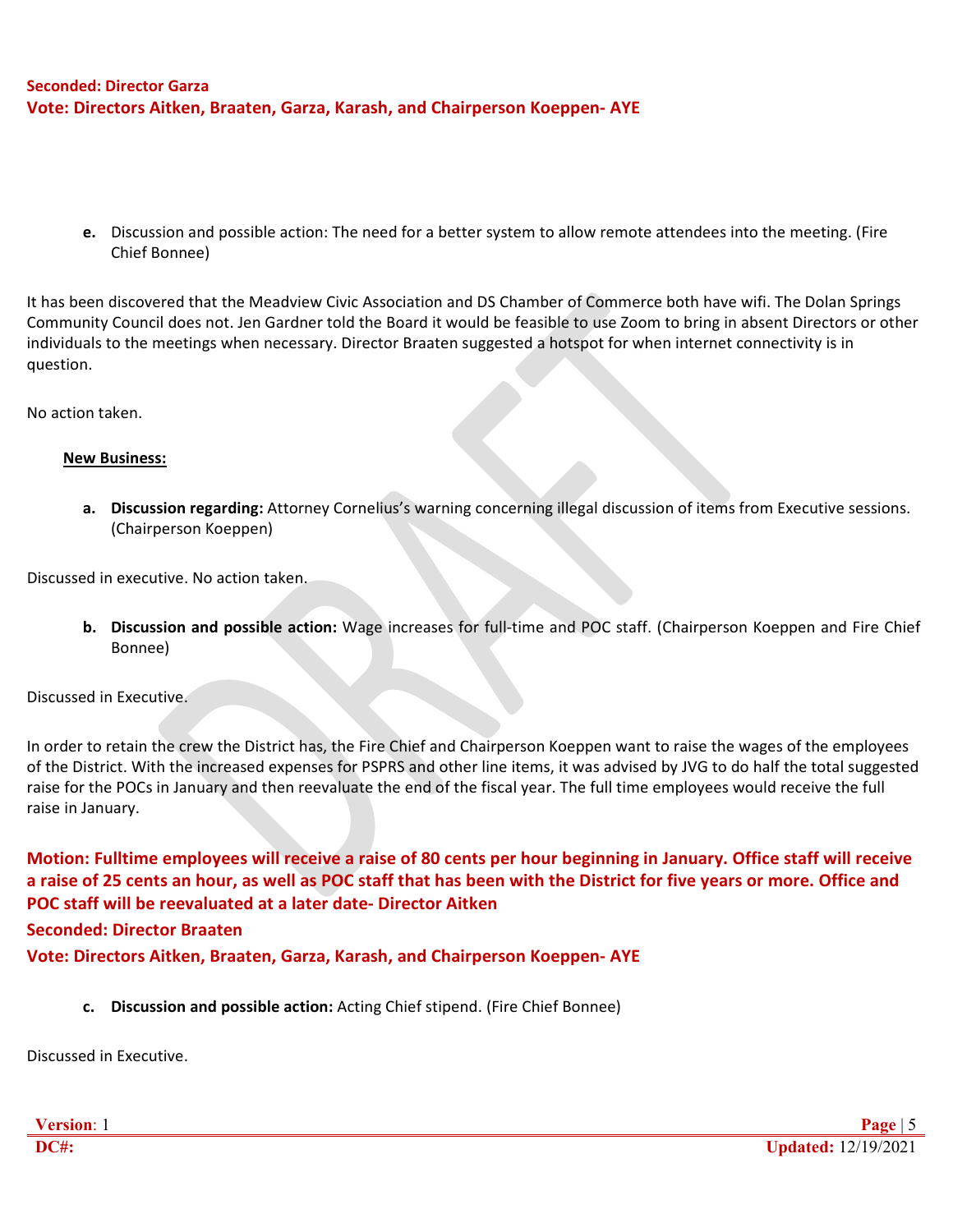# **Seconded: Director Garza Vote: Directors Aitken, Braaten, Garza, Karash, and Chairperson Koeppen- AYE**

**e.** Discussion and possible action: The need for a better system to allow remote attendees into the meeting. (Fire Chief Bonnee)

It has been discovered that the Meadview Civic Association and DS Chamber of Commerce both have wifi. The Dolan Springs Community Council does not. Jen Gardner told the Board it would be feasible to use Zoom to bring in absent Directors or other individuals to the meetings when necessary. Director Braaten suggested a hotspot for when internet connectivity is in question.

No action taken.

### **New Business:**

**a. Discussion regarding:** Attorney Cornelius's warning concerning illegal discussion of items from Executive sessions. (Chairperson Koeppen)

Discussed in executive. No action taken.

**b. Discussion and possible action:** Wage increases for full-time and POC staff. (Chairperson Koeppen and Fire Chief Bonnee)

Discussed in Executive.

In order to retain the crew the District has, the Fire Chief and Chairperson Koeppen want to raise the wages of the employees of the District. With the increased expenses for PSPRS and other line items, it was advised by JVG to do half the total suggested raise for the POCs in January and then reevaluate the end of the fiscal year. The full time employees would receive the full raise in January.

**Motion: Fulltime employees will receive a raise of 80 cents per hour beginning in January. Office staff will receive a raise of 25 cents an hour, as well as POC staff that has been with the District for five years or more. Office and POC staff will be reevaluated at a later date- Director Aitken**

**Seconded: Director Braaten**

**Vote: Directors Aitken, Braaten, Garza, Karash, and Chairperson Koeppen- AYE**

**c. Discussion and possible action:** Acting Chief stipend. (Fire Chief Bonnee)

Discussed in Executive.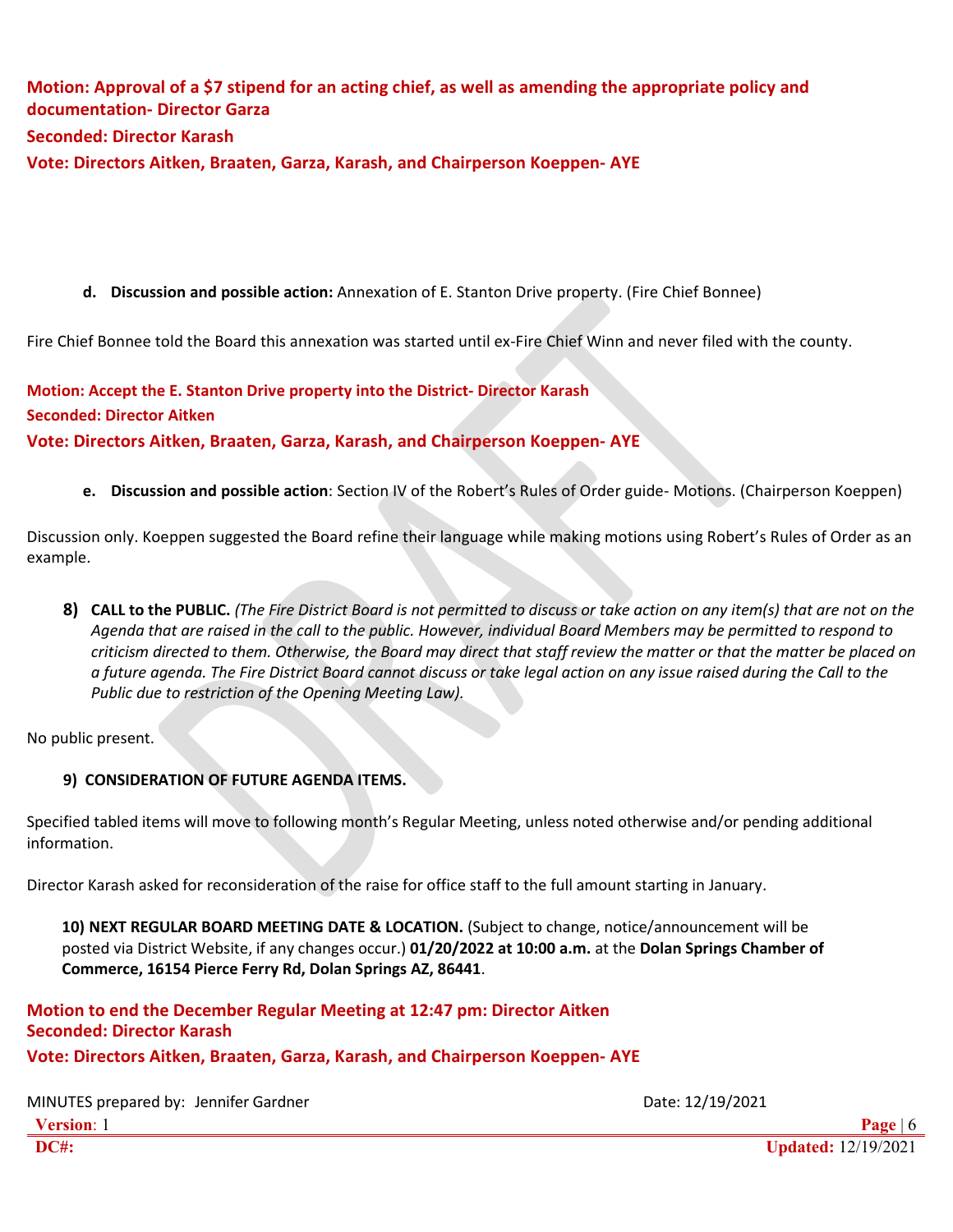# **Motion: Approval of a \$7 stipend for an acting chief, as well as amending the appropriate policy and documentation- Director Garza Seconded: Director Karash**

**Vote: Directors Aitken, Braaten, Garza, Karash, and Chairperson Koeppen- AYE**

# **d. Discussion and possible action:** Annexation of E. Stanton Drive property. (Fire Chief Bonnee)

Fire Chief Bonnee told the Board this annexation was started until ex-Fire Chief Winn and never filed with the county.

**Motion: Accept the E. Stanton Drive property into the District- Director Karash Seconded: Director Aitken Vote: Directors Aitken, Braaten, Garza, Karash, and Chairperson Koeppen- AYE**

**e. Discussion and possible action**: Section IV of the Robert's Rules of Order guide- Motions. (Chairperson Koeppen)

Discussion only. Koeppen suggested the Board refine their language while making motions using Robert's Rules of Order as an example.

8) CALL to the PUBLIC. (The Fire District Board is not permitted to discuss or take action on any item(s) that are not on the *Agenda that are raised in the call to the public. However, individual Board Members may be permitted to respond to criticism directed to them. Otherwise, the Board may direct that staff review the matter or that the matter be placed on a future agenda. The Fire District Board cannot discuss or take legal action on any issue raised during the Call to the Public due to restriction of the Opening Meeting Law).*

No public present.

# **9) CONSIDERATION OF FUTURE AGENDA ITEMS.**

Specified tabled items will move to following month's Regular Meeting, unless noted otherwise and/or pending additional information.

Director Karash asked for reconsideration of the raise for office staff to the full amount starting in January.

**10) NEXT REGULAR BOARD MEETING DATE & LOCATION.** (Subject to change, notice/announcement will be posted via District Website, if any changes occur.) **01/20/2022 at 10:00 a.m.** at the **Dolan Springs Chamber of Commerce, 16154 Pierce Ferry Rd, Dolan Springs AZ, 86441**.

**Motion to end the December Regular Meeting at 12:47 pm: Director Aitken Seconded: Director Karash**

**Vote: Directors Aitken, Braaten, Garza, Karash, and Chairperson Koeppen- AYE**

**Version**: 1 **Page** | 6 **DC#: Updated:** 12/19/2021 MINUTES prepared by: Jennifer Gardner Date: 12/19/2021